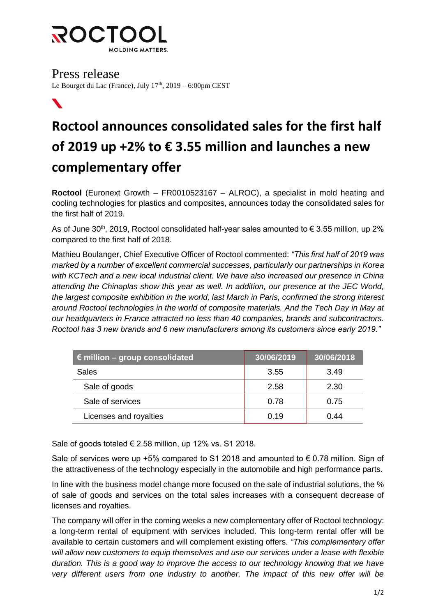

Press release Le Bourget du Lac (France), July 17<sup>th</sup>, 2019 – 6:00pm CEST

## $\boldsymbol{N}$

# **Roctool announces consolidated sales for the first half of 2019 up +2% to € 3.55 million and launches a new complementary offer**

**Roctool** (Euronext Growth – FR0010523167 – ALROC), a specialist in mold heating and cooling technologies for plastics and composites, announces today the consolidated sales for the first half of 2019.

As of June 30<sup>th</sup>, 2019, Roctool consolidated half-year sales amounted to  $\epsilon$  3.55 million, up 2% compared to the first half of 2018.

Mathieu Boulanger, Chief Executive Officer of Roctool commented: *"This first half of 2019 was marked by a number of excellent commercial successes, particularly our partnerships in Korea with KCTech and a new local industrial client. We have also increased our presence in China attending the Chinaplas show this year as well. In addition, our presence at the JEC World, the largest composite exhibition in the world, last March in Paris, confirmed the strong interest around Roctool technologies in the world of composite materials. And the Tech Day in May at our headquarters in France attracted no less than 40 companies, brands and subcontractors. Roctool has 3 new brands and 6 new manufacturers among its customers since early 2019."*

| $\in$ million – group consolidated | 30/06/2019 | 30/06/2018 |
|------------------------------------|------------|------------|
| Sales                              | 3.55       | 3.49       |
| Sale of goods                      | 2.58       | 2.30       |
| Sale of services                   | 0.78       | 0.75       |
| Licenses and royalties             | 0.19       | 0.44       |

Sale of goods totaled € 2.58 million, up 12% vs. S1 2018.

Sale of services were up +5% compared to S1 2018 and amounted to  $\epsilon$  0.78 million. Sign of the attractiveness of the technology especially in the automobile and high performance parts.

In line with the business model change more focused on the sale of industrial solutions, the % of sale of goods and services on the total sales increases with a consequent decrease of licenses and royalties.

The company will offer in the coming weeks a new complementary offer of Roctool technology: a long-term rental of equipment with services included. This long-term rental offer will be available to certain customers and will complement existing offers. *"This complementary offer will allow new customers to equip themselves and use our services under a lease with flexible duration. This is a good way to improve the access to our technology knowing that we have very different users from one industry to another. The impact of this new offer will be*